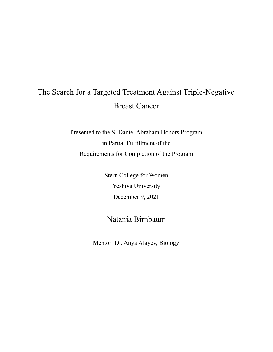# The Search for a Targeted Treatment Against Triple-Negative Breast Cancer

Presented to the S. Daniel Abraham Honors Program in Partial Fulfillment of the Requirements for Completion of the Program

> Stern College for Women Yeshiva University December 9, 2021

# Natania Birnbaum

Mentor: Dr. Anya Alayev, Biology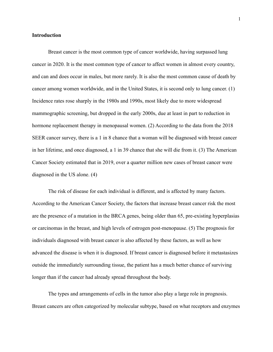#### **Introduction**

Breast cancer is the most common type of cancer worldwide, having surpassed lung cancer in 2020. It is the most common type of cancer to affect women in almost every country, and can and does occur in males, but more rarely. It is also the most common cause of death by cancer among women worldwide, and in the United States, it is second only to lung cancer. (1) Incidence rates rose sharply in the 1980s and 1990s, most likely due to more widespread mammographic screening, but dropped in the early 2000s, due at least in part to reduction in hormone replacement therapy in menopausal women. (2) According to the data from the 2018 SEER cancer survey, there is a 1 in 8 chance that a woman will be diagnosed with breast cancer in her lifetime, and once diagnosed, a 1 in 39 chance that she will die from it. (3) The American Cancer Society estimated that in 2019, over a quarter million new cases of breast cancer were diagnosed in the US alone. (4)

The risk of disease for each individual is different, and is affected by many factors. According to the American Cancer Society, the factors that increase breast cancer risk the most are the presence of a mutation in the BRCA genes, being older than 65, pre-existing hyperplasias or carcinomas in the breast, and high levels of estrogen post-menopause. (5) The prognosis for individuals diagnosed with breast cancer is also affected by these factors, as well as how advanced the disease is when it is diagnosed. If breast cancer is diagnosed before it metastasizes outside the immediately surrounding tissue, the patient has a much better chance of surviving longer than if the cancer had already spread throughout the body.

The types and arrangements of cells in the tumor also play a large role in prognosis. Breast cancers are often categorized by molecular subtype, based on what receptors and enzymes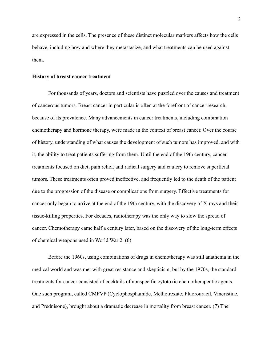are expressed in the cells. The presence of these distinct molecular markers affects how the cells behave, including how and where they metastasize, and what treatments can be used against them.

#### **History of breast cancer treatment**

For thousands of years, doctors and scientists have puzzled over the causes and treatment of cancerous tumors. Breast cancer in particular is often at the forefront of cancer research, because of its prevalence. Many advancements in cancer treatments, including combination chemotherapy and hormone therapy, were made in the context of breast cancer. Over the course of history, understanding of what causes the development of such tumors has improved, and with it, the ability to treat patients suffering from them. Until the end of the 19th century, cancer treatments focused on diet, pain relief, and radical surgery and cautery to remove superficial tumors. These treatments often proved ineffective, and frequently led to the death of the patient due to the progression of the disease or complications from surgery. Effective treatments for cancer only began to arrive at the end of the 19th century, with the discovery of X-rays and their tissue-killing properties. For decades, radiotherapy was the only way to slow the spread of cancer. Chemotherapy came half a century later, based on the discovery of the long-term effects of chemical weapons used in World War 2. (6)

Before the 1960s, using combinations of drugs in chemotherapy was still anathema in the medical world and was met with great resistance and skepticism, but by the 1970s, the standard treatments for cancer consisted of cocktails of nonspecific cytotoxic chemotherapeutic agents. One such program, called CMFVP (Cyclophosphamide, Methotrexate, Fluorouracil, Vincristine, and Prednisone), brought about a dramatic decrease in mortality from breast cancer. (7) The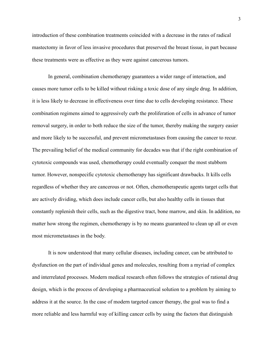introduction of these combination treatments coincided with a decrease in the rates of radical mastectomy in favor of less invasive procedures that preserved the breast tissue, in part because these treatments were as effective as they were against cancerous tumors.

In general, combination chemotherapy guarantees a wider range of interaction, and causes more tumor cells to be killed without risking a toxic dose of any single drug. In addition, it is less likely to decrease in effectiveness over time due to cells developing resistance. These combination regimens aimed to aggressively curb the proliferation of cells in advance of tumor removal surgery, in order to both reduce the size of the tumor, thereby making the surgery easier and more likely to be successful, and prevent micrometastases from causing the cancer to recur. The prevailing belief of the medical community for decades was that if the right combination of cytotoxic compounds was used, chemotherapy could eventually conquer the most stubborn tumor. However, nonspecific cytotoxic chemotherapy has significant drawbacks. It kills cells regardless of whether they are cancerous or not. Often, chemotherapeutic agents target cells that are actively dividing, which does include cancer cells, but also healthy cells in tissues that constantly replenish their cells, such as the digestive tract, bone marrow, and skin. In addition, no matter how strong the regimen, chemotherapy is by no means guaranteed to clean up all or even most micrometastases in the body.

It is now understood that many cellular diseases, including cancer, can be attributed to dysfunction on the part of individual genes and molecules, resulting from a myriad of complex and interrelated processes. Modern medical research often follows the strategies of rational drug design, which is the process of developing a pharmaceutical solution to a problem by aiming to address it at the source. In the case of modern targeted cancer therapy, the goal was to find a more reliable and less harmful way of killing cancer cells by using the factors that distinguish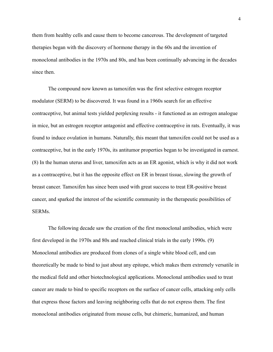them from healthy cells and cause them to become cancerous. The development of targeted therapies began with the discovery of hormone therapy in the 60s and the invention of monoclonal antibodies in the 1970s and 80s, and has been continually advancing in the decades since then.

The compound now known as tamoxifen was the first selective estrogen receptor modulator (SERM) to be discovered. It was found in a 1960s search for an effective contraceptive, but animal tests yielded perplexing results - it functioned as an estrogen analogue in mice, but an estrogen receptor antagonist and effective contraceptive in rats. Eventually, it was found to induce ovulation in humans. Naturally, this meant that tamoxifen could not be used as a contraceptive, but in the early 1970s, its antitumor properties began to be investigated in earnest. (8) In the human uterus and liver, tamoxifen acts as an ER agonist, which is why it did not work as a contraceptive, but it has the opposite effect on ER in breast tissue, slowing the growth of breast cancer. Tamoxifen has since been used with great success to treat ER-positive breast cancer, and sparked the interest of the scientific community in the therapeutic possibilities of **SERMs**.

The following decade saw the creation of the first monoclonal antibodies, which were first developed in the 1970s and 80s and reached clinical trials in the early 1990s. (9) Monoclonal antibodies are produced from clones of a single white blood cell, and can theoretically be made to bind to just about any epitope, which makes them extremely versatile in the medical field and other biotechnological applications. Monoclonal antibodies used to treat cancer are made to bind to specific receptors on the surface of cancer cells, attacking only cells that express those factors and leaving neighboring cells that do not express them. The first monoclonal antibodies originated from mouse cells, but chimeric, humanized, and human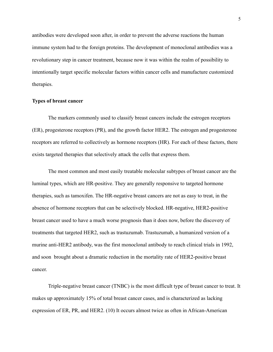antibodies were developed soon after, in order to prevent the adverse reactions the human immune system had to the foreign proteins. The development of monoclonal antibodies was a revolutionary step in cancer treatment, because now it was within the realm of possibility to intentionally target specific molecular factors within cancer cells and manufacture customized therapies.

#### **Types of breast cancer**

The markers commonly used to classify breast cancers include the estrogen receptors (ER), progesterone receptors (PR), and the growth factor HER2. The estrogen and progesterone receptors are referred to collectively as hormone receptors (HR). For each of these factors, there exists targeted therapies that selectively attack the cells that express them.

The most common and most easily treatable molecular subtypes of breast cancer are the luminal types, which are HR-positive. They are generally responsive to targeted hormone therapies, such as tamoxifen. The HR-negative breast cancers are not as easy to treat, in the absence of hormone receptors that can be selectively blocked. HR-negative, HER2-positive breast cancer used to have a much worse prognosis than it does now, before the discovery of treatments that targeted HER2, such as trastuzumab. Trastuzumab, a humanized version of a murine anti-HER2 antibody, was the first monoclonal antibody to reach clinical trials in 1992, and soon brought about a dramatic reduction in the mortality rate of HER2-positive breast cancer.

Triple-negative breast cancer (TNBC) is the most difficult type of breast cancer to treat. It makes up approximately 15% of total breast cancer cases, and is characterized as lacking expression of ER, PR, and HER2. (10) It occurs almost twice as often in African-American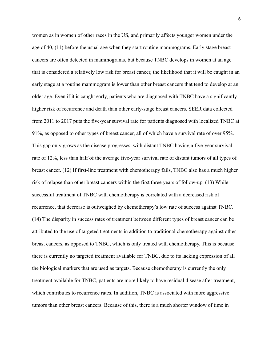women as in women of other races in the US, and primarily affects younger women under the age of 40, (11) before the usual age when they start routine mammograms. Early stage breast cancers are often detected in mammograms, but because TNBC develops in women at an age that is considered a relatively low risk for breast cancer, the likelihood that it will be caught in an early stage at a routine mammogram is lower than other breast cancers that tend to develop at an older age. Even if it is caught early, patients who are diagnosed with TNBC have a significantly higher risk of recurrence and death than other early-stage breast cancers. SEER data collected from 2011 to 2017 puts the five-year survival rate for patients diagnosed with localized TNBC at 91%, as opposed to other types of breast cancer, all of which have a survival rate of over 95%. This gap only grows as the disease progresses, with distant TNBC having a five-year survival rate of 12%, less than half of the average five-year survival rate of distant tumors of all types of breast cancer. (12) If first-line treatment with chemotherapy fails, TNBC also has a much higher risk of relapse than other breast cancers within the first three years of follow-up. (13) While successful treatment of TNBC with chemotherapy is correlated with a decreased risk of recurrence, that decrease is outweighed by chemotherapy's low rate of success against TNBC. (14) The disparity in success rates of treatment between different types of breast cancer can be attributed to the use of targeted treatments in addition to traditional chemotherapy against other breast cancers, as opposed to TNBC, which is only treated with chemotherapy. This is because there is currently no targeted treatment available for TNBC, due to its lacking expression of all the biological markers that are used as targets. Because chemotherapy is currently the only treatment available for TNBC, patients are more likely to have residual disease after treatment, which contributes to recurrence rates. In addition, TNBC is associated with more aggressive tumors than other breast cancers. Because of this, there is a much shorter window of time in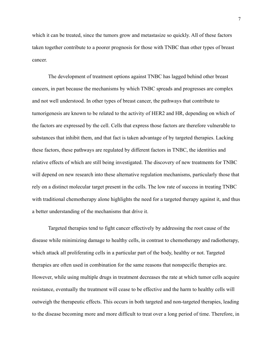which it can be treated, since the tumors grow and metastasize so quickly. All of these factors taken together contribute to a poorer prognosis for those with TNBC than other types of breast cancer.

The development of treatment options against TNBC has lagged behind other breast cancers, in part because the mechanisms by which TNBC spreads and progresses are complex and not well understood. In other types of breast cancer, the pathways that contribute to tumorigenesis are known to be related to the activity of HER2 and HR, depending on which of the factors are expressed by the cell. Cells that express those factors are therefore vulnerable to substances that inhibit them, and that fact is taken advantage of by targeted therapies. Lacking these factors, these pathways are regulated by different factors in TNBC, the identities and relative effects of which are still being investigated. The discovery of new treatments for TNBC will depend on new research into these alternative regulation mechanisms, particularly those that rely on a distinct molecular target present in the cells. The low rate of success in treating TNBC with traditional chemotherapy alone highlights the need for a targeted therapy against it, and thus a better understanding of the mechanisms that drive it.

Targeted therapies tend to fight cancer effectively by addressing the root cause of the disease while minimizing damage to healthy cells, in contrast to chemotherapy and radiotherapy, which attack all proliferating cells in a particular part of the body, healthy or not. Targeted therapies are often used in combination for the same reasons that nonspecific therapies are. However, while using multiple drugs in treatment decreases the rate at which tumor cells acquire resistance, eventually the treatment will cease to be effective and the harm to healthy cells will outweigh the therapeutic effects. This occurs in both targeted and non-targeted therapies, leading to the disease becoming more and more difficult to treat over a long period of time. Therefore, in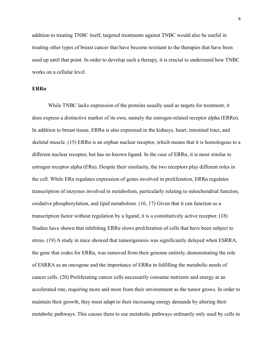addition to treating TNBC itself, targeted treatments against TNBC would also be useful in treating other types of breast cancer that have become resistant to the therapies that have been used up until that point. In order to develop such a therapy, it is crucial to understand how TNBC works on a cellular level.

# **ERRα**

While TNBC lacks expression of the proteins usually used as targets for treatment, it does express a distinctive marker of its own, namely the estrogen-related receptor alpha (ERRα). In addition to breast tissue,  $ERR\alpha$  is also expressed in the kidneys, heart, intestinal tract, and skeletal muscle. (15) ERR $\alpha$  is an orphan nuclear receptor, which means that it is homologous to a different nuclear receptor, but has no known ligand. In the case of ERRα, it is most similar to estrogen receptor alpha ( $ER\alpha$ ). Despite their similarity, the two receptors play different roles in the cell. While ERα regulates expression of genes involved in proliferation, ERRα regulates transcription of enzymes involved in metabolism, particularly relating to mitochondrial function, oxidative phosphorylation, and lipid metabolism. (16, 17) Given that it can function as a transcription factor without regulation by a ligand, it is a constitutively active receptor. (18) Studies have shown that inhibiting ERRα slows proliferation of cells that have been subject to stress. (19) A study in mice showed that tumorigenesis was significantly delayed when ESRRA, the gene that codes for ERRα, was removed from their genome entirely, demonstrating the role of ESRRA as an oncogene and the importance of  $ERR\alpha$  in fulfilling the metabolic needs of cancer cells. (20) Proliferating cancer cells necessarily consume nutrients and energy at an accelerated rate, requiring more and more from their environment as the tumor grows. In order to maintain their growth, they must adapt to their increasing energy demands by altering their metabolic pathways. This causes them to use metabolic pathways ordinarily only used by cells in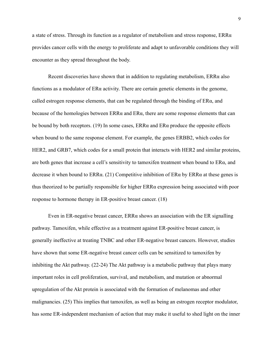a state of stress. Through its function as a regulator of metabolism and stress response,  $ERR\alpha$ provides cancer cells with the energy to proliferate and adapt to unfavorable conditions they will encounter as they spread throughout the body.

Recent discoveries have shown that in addition to regulating metabolism,  $ERR\alpha$  also functions as a modulator of ERα activity. There are certain genetic elements in the genome, called estrogen response elements, that can be regulated through the binding of  $ER\alpha$ , and because of the homologies between  $\text{ERR}\alpha$  and  $\text{ER}\alpha$ , there are some response elements that can be bound by both receptors. (19) In some cases,  $ERR\alpha$  and  $ER\alpha$  produce the opposite effects when bound to the same response element. For example, the genes ERBB2, which codes for HER2, and GRB7, which codes for a small protein that interacts with HER2 and similar proteins, are both genes that increase a cell's sensitivity to tamoxifen treatment when bound to ERα, and decrease it when bound to ERR $\alpha$ . (21) Competitive inhibition of ER $\alpha$  by ERR $\alpha$  at these genes is thus theorized to be partially responsible for higher ERRα expression being associated with poor response to hormone therapy in ER-positive breast cancer. (18)

Even in ER-negative breast cancer, ERRα shows an association with the ER signalling pathway. Tamoxifen, while effective as a treatment against ER-positive breast cancer, is generally ineffective at treating TNBC and other ER-negative breast cancers. However, studies have shown that some ER-negative breast cancer cells can be sensitized to tamoxifen by inhibiting the Akt pathway. (22-24) The Akt pathway is a metabolic pathway that plays many important roles in cell proliferation, survival, and metabolism, and mutation or abnormal upregulation of the Akt protein is associated with the formation of melanomas and other malignancies. (25) This implies that tamoxifen, as well as being an estrogen receptor modulator, has some ER-independent mechanism of action that may make it useful to shed light on the inner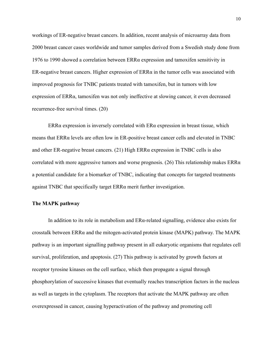workings of ER-negative breast cancers. In addition, recent analysis of microarray data from 2000 breast cancer cases worldwide and tumor samples derived from a Swedish study done from 1976 to 1990 showed a correlation between ERRα expression and tamoxifen sensitivity in ER-negative breast cancers. Higher expression of  $ERR\alpha$  in the tumor cells was associated with improved prognosis for TNBC patients treated with tamoxifen, but in tumors with low expression of ERRα, tamoxifen was not only ineffective at slowing cancer, it even decreased recurrence-free survival times. (20)

ERR $\alpha$  expression is inversely correlated with ER $\alpha$  expression in breast tissue, which means that ERRα levels are often low in ER-positive breast cancer cells and elevated in TNBC and other ER-negative breast cancers. (21) High ERRα expression in TNBC cells is also correlated with more aggressive tumors and worse prognosis. (26) This relationship makes ERRα a potential candidate for a biomarker of TNBC, indicating that concepts for targeted treatments against TNBC that specifically target ERRα merit further investigation.

### **The MAPK pathway**

In addition to its role in metabolism and  $ER\alpha$ -related signalling, evidence also exists for crosstalk between ERRα and the mitogen-activated protein kinase (MAPK) pathway. The MAPK pathway is an important signalling pathway present in all eukaryotic organisms that regulates cell survival, proliferation, and apoptosis. (27) This pathway is activated by growth factors at receptor tyrosine kinases on the cell surface, which then propagate a signal through phosphorylation of successive kinases that eventually reaches transcription factors in the nucleus as well as targets in the cytoplasm. The receptors that activate the MAPK pathway are often overexpressed in cancer, causing hyperactivation of the pathway and promoting cell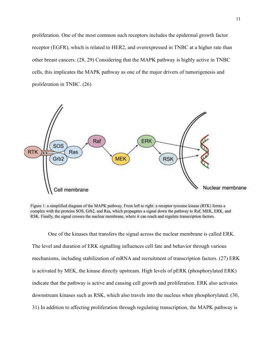proliferation. One of the most common such receptors includes the epidermal growth factor receptor (EGFR), which is related to HER2, and overexpressed in TNBC at a higher rate than other breast cancers. (28, 29) Considering that the MAPK pathway is highly active in TNBC cells, this implicates the MAPK pathway as one of the major drivers of tumorigenesis and proliferation in TNBC. (26)



Figure 1: a simplified diagram of the MAPK pathway. From left to right: a receptor tyrosine kinase (RTK) forms a complex with the proteins SOS, Grb2, and Ras, which propagates a signal down the pathway to Raf, MEK, ERK, and RSK. Finally, the signal crosses the nuclear membrane, where it can reach and regulate transcription factors.

One of the kinases that transfers the signal across the nuclear membrane is called ERK. The level and duration of ERK signalling influences cell fate and behavior through various mechanisms, including stabilization of mRNA and recruitment of transcription factors. (27) ERK is activated by MEK, the kinase directly upstream. High levels of pERK (phosphorylated ERK) indicate that the pathway is active and causing cell growth and proliferation. ERK also activates downstream kinases such as RSK, which also travels into the nucleus when phosphorylated. (30, 31) In addition to affecting proliferation through regulating transcription, the MAPK pathway is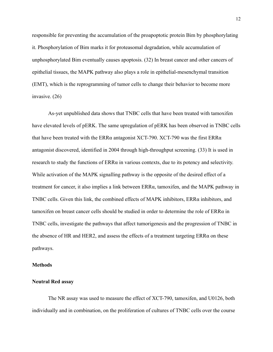responsible for preventing the accumulation of the proapoptotic protein Bim by phosphorylating it. Phosphorylation of Bim marks it for proteasomal degradation, while accumulation of unphosphorylated Bim eventually causes apoptosis. (32) In breast cancer and other cancers of epithelial tissues, the MAPK pathway also plays a role in epithelial-mesenchymal transition (EMT), which is the reprogramming of tumor cells to change their behavior to become more invasive. (26)

As-yet unpublished data shows that TNBC cells that have been treated with tamoxifen have elevated levels of pERK. The same upregulation of pERK has been observed in TNBC cells that have been treated with the ERRα antagonist XCT-790. XCT-790 was the first ERRα antagonist discovered, identified in 2004 through high-throughput screening. (33) It is used in research to study the functions of ERRα in various contexts, due to its potency and selectivity. While activation of the MAPK signalling pathway is the opposite of the desired effect of a treatment for cancer, it also implies a link between  $ERR\alpha$ , tamoxifen, and the MAPK pathway in TNBC cells. Given this link, the combined effects of MAPK inhibitors, ERRα inhibitors, and tamoxifen on breast cancer cells should be studied in order to determine the role of ERRα in TNBC cells, investigate the pathways that affect tumorigenesis and the progression of TNBC in the absence of HR and HER2, and assess the effects of a treatment targeting  $ERR\alpha$  on these pathways.

### **Methods**

#### **Neutral Red assay**

The NR assay was used to measure the effect of XCT-790, tamoxifen, and U0126, both individually and in combination, on the proliferation of cultures of TNBC cells over the course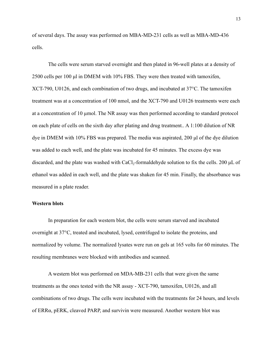of several days. The assay was performed on MBA-MD-231 cells as well as MBA-MD-436 cells.

The cells were serum starved overnight and then plated in 96-well plates at a density of 2500 cells per 100 μl in DMEM with 10% FBS. They were then treated with tamoxifen, XCT-790, U0126, and each combination of two drugs, and incubated at 37°C. The tamoxifen treatment was at a concentration of 100 nmol, and the XCT-790 and U0126 treatments were each at a concentration of 10 µmol. The NR assay was then performed according to standard protocol on each plate of cells on the sixth day after plating and drug treatment.. A 1:100 dilution of NR dye in DMEM with 10% FBS was prepared. The media was aspirated, 200 μl of the dye dilution was added to each well, and the plate was incubated for 45 minutes. The excess dye was discarded, and the plate was washed with CaCl<sub>2</sub>-formaldehyde solution to fix the cells. 200  $\mu$ L of ethanol was added in each well, and the plate was shaken for 45 min. Finally, the absorbance was measured in a plate reader.

# **Western blots**

In preparation for each western blot, the cells were serum starved and incubated overnight at 37°C, treated and incubated, lysed, centrifuged to isolate the proteins, and normalized by volume. The normalized lysates were run on gels at 165 volts for 60 minutes. The resulting membranes were blocked with antibodies and scanned.

A western blot was performed on MDA-MB-231 cells that were given the same treatments as the ones tested with the NR assay - XCT-790, tamoxifen, U0126, and all combinations of two drugs. The cells were incubated with the treatments for 24 hours, and levels of ERRα, pERK, cleaved PARP, and survivin were measured. Another western blot was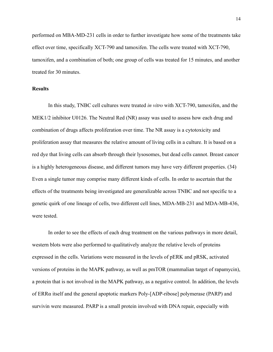performed on MBA-MD-231 cells in order to further investigate how some of the treatments take effect over time, specifically XCT-790 and tamoxifen. The cells were treated with XCT-790, tamoxifen, and a combination of both; one group of cells was treated for 15 minutes, and another treated for 30 minutes.

# **Results**

In this study, TNBC cell cultures were treated *in vitro* with XCT-790, tamoxifen, and the MEK1/2 inhibitor U0126. The Neutral Red (NR) assay was used to assess how each drug and combination of drugs affects proliferation over time. The NR assay is a cytotoxicity and proliferation assay that measures the relative amount of living cells in a culture. It is based on a red dye that living cells can absorb through their lysosomes, but dead cells cannot. Breast cancer is a highly heterogeneous disease, and different tumors may have very different properties. (34) Even a single tumor may comprise many different kinds of cells. In order to ascertain that the effects of the treatments being investigated are generalizable across TNBC and not specific to a genetic quirk of one lineage of cells, two different cell lines, MDA-MB-231 and MDA-MB-436, were tested.

In order to see the effects of each drug treatment on the various pathways in more detail, western blots were also performed to qualitatively analyze the relative levels of proteins expressed in the cells. Variations were measured in the levels of pERK and pRSK, activated versions of proteins in the MAPK pathway, as well as pmTOR (mammalian target of rapamycin), a protein that is not involved in the MAPK pathway, as a negative control. In addition, the levels of ERRα itself and the general apoptotic markers Poly-[ADP-ribose] polymerase (PARP) and survivin were measured. PARP is a small protein involved with DNA repair, especially with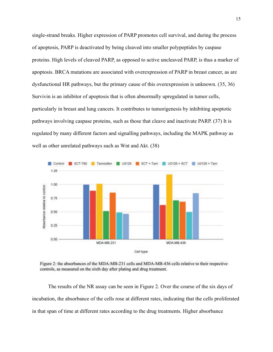single-strand breaks. Higher expression of PARP promotes cell survival, and during the process of apoptosis, PARP is deactivated by being cleaved into smaller polypeptides by caspase proteins. High levels of cleaved PARP, as opposed to active uncleaved PARP, is thus a marker of apoptosis. BRCA mutations are associated with overexpression of PARP in breast cancer, as are dysfunctional HR pathways, but the primary cause of this overexpression is unknown. (35, 36) Survivin is an inhibitor of apoptosis that is often abnormally upregulated in tumor cells, particularly in breast and lung cancers. It contributes to tumorigenesis by inhibiting apoptotic pathways involving caspase proteins, such as those that cleave and inactivate PARP. (37) It is regulated by many different factors and signalling pathways, including the MAPK pathway as well as other unrelated pathways such as Wnt and Akt. (38)



Figure 2: the absorbances of the MDA-MB-231 cells and MDA-MB-436 cells relative to their respective controls, as measured on the sixth day after plating and drug treatment.

The results of the NR assay can be seen in Figure 2. Over the course of the six days of incubation, the absorbance of the cells rose at different rates, indicating that the cells proliferated in that span of time at different rates according to the drug treatments. Higher absorbance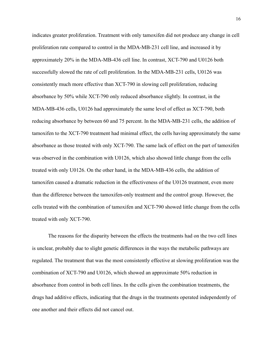indicates greater proliferation. Treatment with only tamoxifen did not produce any change in cell proliferation rate compared to control in the MDA-MB-231 cell line, and increased it by approximately 20% in the MDA-MB-436 cell line. In contrast, XCT-790 and U0126 both successfully slowed the rate of cell proliferation. In the MDA-MB-231 cells, U0126 was consistently much more effective than XCT-790 in slowing cell proliferation, reducing absorbance by 50% while XCT-790 only reduced absorbance slightly. In contrast, in the MDA-MB-436 cells, U0126 had approximately the same level of effect as XCT-790, both reducing absorbance by between 60 and 75 percent. In the MDA-MB-231 cells, the addition of tamoxifen to the XCT-790 treatment had minimal effect, the cells having approximately the same absorbance as those treated with only XCT-790. The same lack of effect on the part of tamoxifen was observed in the combination with U0126, which also showed little change from the cells treated with only U0126. On the other hand, in the MDA-MB-436 cells, the addition of tamoxifen caused a dramatic reduction in the effectiveness of the U0126 treatment, even more than the difference between the tamoxifen-only treatment and the control group. However, the cells treated with the combination of tamoxifen and XCT-790 showed little change from the cells treated with only XCT-790.

The reasons for the disparity between the effects the treatments had on the two cell lines is unclear, probably due to slight genetic differences in the ways the metabolic pathways are regulated. The treatment that was the most consistently effective at slowing proliferation was the combination of XCT-790 and U0126, which showed an approximate 50% reduction in absorbance from control in both cell lines. In the cells given the combination treatments, the drugs had additive effects, indicating that the drugs in the treatments operated independently of one another and their effects did not cancel out.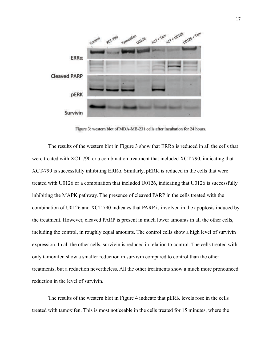

Figure 3: western blot of MDA-MB-231 cells after incubation for 24 hours.

The results of the western blot in Figure 3 show that  $ERR\alpha$  is reduced in all the cells that were treated with XCT-790 or a combination treatment that included XCT-790, indicating that XCT-790 is successfully inhibiting ERRα. Similarly, pERK is reduced in the cells that were treated with U0126 or a combination that included U0126, indicating that U0126 is successfully inhibiting the MAPK pathway. The presence of cleaved PARP in the cells treated with the combination of U0126 and XCT-790 indicates that PARP is involved in the apoptosis induced by the treatment. However, cleaved PARP is present in much lower amounts in all the other cells, including the control, in roughly equal amounts. The control cells show a high level of survivin expression. In all the other cells, survivin is reduced in relation to control. The cells treated with only tamoxifen show a smaller reduction in survivin compared to control than the other treatments, but a reduction nevertheless. All the other treatments show a much more pronounced reduction in the level of survivin.

The results of the western blot in Figure 4 indicate that pERK levels rose in the cells treated with tamoxifen. This is most noticeable in the cells treated for 15 minutes, where the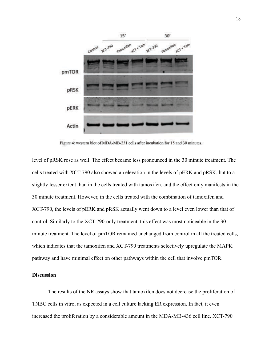

Figure 4: western blot of MDA-MB-231 cells after incubation for 15 and 30 minutes.

level of pRSK rose as well. The effect became less pronounced in the 30 minute treatment. The cells treated with XCT-790 also showed an elevation in the levels of pERK and pRSK, but to a slightly lesser extent than in the cells treated with tamoxifen, and the effect only manifests in the 30 minute treatment. However, in the cells treated with the combination of tamoxifen and XCT-790, the levels of pERK and pRSK actually went down to a level even lower than that of control. Similarly to the XCT-790-only treatment, this effect was most noticeable in the 30 minute treatment. The level of pmTOR remained unchanged from control in all the treated cells, which indicates that the tamoxifen and XCT-790 treatments selectively upregulate the MAPK pathway and have minimal effect on other pathways within the cell that involve pmTOR.

# **Discussion**

The results of the NR assays show that tamoxifen does not decrease the proliferation of TNBC cells in vitro, as expected in a cell culture lacking ER expression. In fact, it even increased the proliferation by a considerable amount in the MDA-MB-436 cell line. XCT-790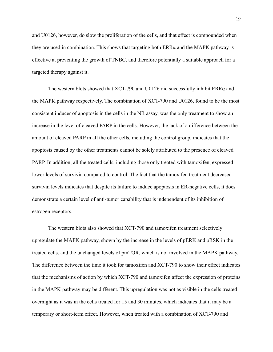and U0126, however, do slow the proliferation of the cells, and that effect is compounded when they are used in combination. This shows that targeting both  $ERR\alpha$  and the MAPK pathway is effective at preventing the growth of TNBC, and therefore potentially a suitable approach for a targeted therapy against it.

The western blots showed that XCT-790 and U0126 did successfully inhibit ERRα and the MAPK pathway respectively. The combination of XCT-790 and U0126, found to be the most consistent inducer of apoptosis in the cells in the NR assay, was the only treatment to show an increase in the level of cleaved PARP in the cells. However, the lack of a difference between the amount of cleaved PARP in all the other cells, including the control group, indicates that the apoptosis caused by the other treatments cannot be solely attributed to the presence of cleaved PARP. In addition, all the treated cells, including those only treated with tamoxifen, expressed lower levels of survivin compared to control. The fact that the tamoxifen treatment decreased survivin levels indicates that despite its failure to induce apoptosis in ER-negative cells, it does demonstrate a certain level of anti-tumor capability that is independent of its inhibition of estrogen receptors.

The western blots also showed that XCT-790 and tamoxifen treatment selectively upregulate the MAPK pathway, shown by the increase in the levels of pERK and pRSK in the treated cells, and the unchanged levels of pmTOR, which is not involved in the MAPK pathway. The difference between the time it took for tamoxifen and XCT-790 to show their effect indicates that the mechanisms of action by which XCT-790 and tamoxifen affect the expression of proteins in the MAPK pathway may be different. This upregulation was not as visible in the cells treated overnight as it was in the cells treated for 15 and 30 minutes, which indicates that it may be a temporary or short-term effect. However, when treated with a combination of XCT-790 and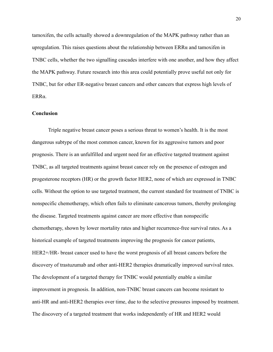tamoxifen, the cells actually showed a downregulation of the MAPK pathway rather than an upregulation. This raises questions about the relationship between  $ERR\alpha$  and tamoxifen in TNBC cells, whether the two signalling cascades interfere with one another, and how they affect the MAPK pathway. Future research into this area could potentially prove useful not only for TNBC, but for other ER-negative breast cancers and other cancers that express high levels of ERRα.

#### **Conclusion**

Triple negative breast cancer poses a serious threat to women's health. It is the most dangerous subtype of the most common cancer, known for its aggressive tumors and poor prognosis. There is an unfulfilled and urgent need for an effective targeted treatment against TNBC, as all targeted treatments against breast cancer rely on the presence of estrogen and progesterone receptors (HR) or the growth factor HER2, none of which are expressed in TNBC cells. Without the option to use targeted treatment, the current standard for treatment of TNBC is nonspecific chemotherapy, which often fails to eliminate cancerous tumors, thereby prolonging the disease. Targeted treatments against cancer are more effective than nonspecific chemotherapy, shown by lower mortality rates and higher recurrence-free survival rates. As a historical example of targeted treatments improving the prognosis for cancer patients, HER2+/HR- breast cancer used to have the worst prognosis of all breast cancers before the discovery of trastuzumab and other anti-HER2 therapies dramatically improved survival rates. The development of a targeted therapy for TNBC would potentially enable a similar improvement in prognosis. In addition, non-TNBC breast cancers can become resistant to anti-HR and anti-HER2 therapies over time, due to the selective pressures imposed by treatment. The discovery of a targeted treatment that works independently of HR and HER2 would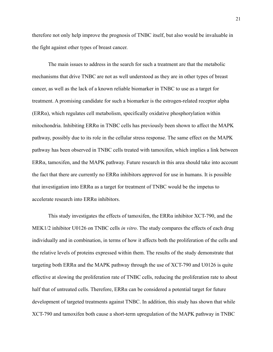therefore not only help improve the prognosis of TNBC itself, but also would be invaluable in the fight against other types of breast cancer.

The main issues to address in the search for such a treatment are that the metabolic mechanisms that drive TNBC are not as well understood as they are in other types of breast cancer, as well as the lack of a known reliable biomarker in TNBC to use as a target for treatment. A promising candidate for such a biomarker is the estrogen-related receptor alpha (ERRα), which regulates cell metabolism, specifically oxidative phosphorylation within mitochondria. Inhibiting  $ERRa$  in TNBC cells has previously been shown to affect the MAPK pathway, possibly due to its role in the cellular stress response. The same effect on the MAPK pathway has been observed in TNBC cells treated with tamoxifen, which implies a link between ERRα, tamoxifen, and the MAPK pathway. Future research in this area should take into account the fact that there are currently no  $ERR\alpha$  inhibitors approved for use in humans. It is possible that investigation into ERRα as a target for treatment of TNBC would be the impetus to accelerate research into ERRα inhibitors.

This study investigates the effects of tamoxifen, the ERRα inhibitor XCT-790, and the MEK1/2 inhibitor U0126 on TNBC cells *in vitro*. The study compares the effects of each drug individually and in combination, in terms of how it affects both the proliferation of the cells and the relative levels of proteins expressed within them. The results of the study demonstrate that targeting both ERR $\alpha$  and the MAPK pathway through the use of XCT-790 and U0126 is quite effective at slowing the proliferation rate of TNBC cells, reducing the proliferation rate to about half that of untreated cells. Therefore,  $ERR\alpha$  can be considered a potential target for future development of targeted treatments against TNBC. In addition, this study has shown that while XCT-790 and tamoxifen both cause a short-term upregulation of the MAPK pathway in TNBC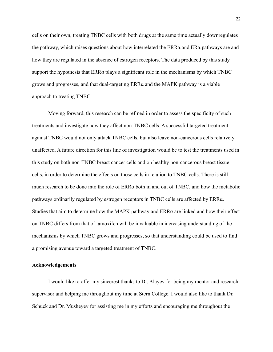cells on their own, treating TNBC cells with both drugs at the same time actually downregulates the pathway, which raises questions about how interrelated the  $ERR\alpha$  and  $ER\alpha$  pathways are and how they are regulated in the absence of estrogen receptors. The data produced by this study support the hypothesis that  $ERR\alpha$  plays a significant role in the mechanisms by which TNBC grows and progresses, and that dual-targeting ERRα and the MAPK pathway is a viable approach to treating TNBC.

Moving forward, this research can be refined in order to assess the specificity of such treatments and investigate how they affect non-TNBC cells. A successful targeted treatment against TNBC would not only attack TNBC cells, but also leave non-cancerous cells relatively unaffected. A future direction for this line of investigation would be to test the treatments used in this study on both non-TNBC breast cancer cells and on healthy non-cancerous breast tissue cells, in order to determine the effects on those cells in relation to TNBC cells. There is still much research to be done into the role of  $ERRa$  both in and out of TNBC, and how the metabolic pathways ordinarily regulated by estrogen receptors in TNBC cells are affected by ERRα. Studies that aim to determine how the MAPK pathway and ERRα are linked and how their effect on TNBC differs from that of tamoxifen will be invaluable in increasing understanding of the mechanisms by which TNBC grows and progresses, so that understanding could be used to find a promising avenue toward a targeted treatment of TNBC.

#### **Acknowledgements**

I would like to offer my sincerest thanks to Dr. Alayev for being my mentor and research supervisor and helping me throughout my time at Stern College. I would also like to thank Dr. Schuck and Dr. Musheyev for assisting me in my efforts and encouraging me throughout the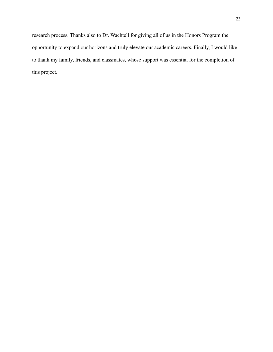research process. Thanks also to Dr. Wachtell for giving all of us in the Honors Program the opportunity to expand our horizons and truly elevate our academic careers. Finally, I would like to thank my family, friends, and classmates, whose support was essential for the completion of this project.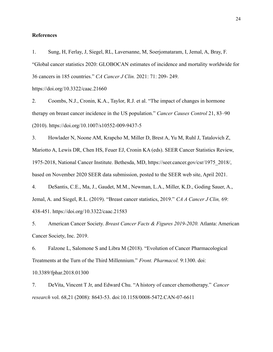#### **References**

1. Sung, H, Ferlay, J, Siegel, RL, Laversanne, M, Soerjomataram, I, Jemal, A, Bray, F. "Global cancer statistics 2020: GLOBOCAN estimates of incidence and mortality worldwide for 36 cancers in 185 countries." *CA Cancer J Clin.* 2021: 71: 209- 249. https://doi.org/10.3322/caac.21660

2. Coombs, N.J., Cronin, K.A., Taylor, R.J. et al. "The impact of changes in hormone therapy on breast cancer incidence in the US population." *Cancer Causes Control* 21, 83–90 (2010). https://doi.org/10.1007/s10552-009-9437-5

3. Howlader N, Noone AM, Krapcho M, Miller D, Brest A, Yu M, Ruhl J, Tatalovich Z, Mariotto A, Lewis DR, Chen HS, Feuer EJ, Cronin KA (eds). SEER Cancer Statistics Review, 1975-2018, National Cancer Institute. Bethesda, MD, https://seer.cancer.gov/csr/1975\_2018/, based on November 2020 SEER data submission, posted to the SEER web site, April 2021.

4. DeSantis, C.E., Ma, J., Gaudet, M.M., Newman, L.A., Miller, K.D., Goding Sauer, A., Jemal, A. and Siegel, R.L. (2019). "Breast cancer statistics, 2019." *CA A Cancer J Clin,* 69: 438-451. https://doi.org/10.3322/caac.21583

5. American Cancer Society. *Breast Cancer Facts & Figures 2019-2020.* Atlanta: American Cancer Society, Inc. 2019.

6. Falzone L, Salomone S and Libra M (2018). "Evolution of Cancer Pharmacological Treatments at the Turn of the Third Millennium." *Front. Pharmacol.* 9:1300. doi: 10.3389/fphar.2018.01300

7. DeVita, Vincent T Jr, and Edward Chu. "A history of cancer chemotherapy." *Cancer research* vol. 68,21 (2008): 8643-53. doi:10.1158/0008-5472.CAN-07-6611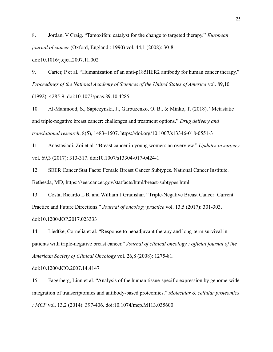8. Jordan, V Craig. "Tamoxifen: catalyst for the change to targeted therapy." *European journal of cancer* (Oxford, England : 1990) vol. 44,1 (2008): 30-8.

doi:10.1016/j.ejca.2007.11.002

9. Carter, P et al. "Humanization of an anti-p185HER2 antibody for human cancer therapy." *Proceedings of the National Academy of Sciences of the United States of America* vol. 89,10 (1992): 4285-9. doi:10.1073/pnas.89.10.4285

10. Al-Mahmood, S., Sapiezynski, J., Garbuzenko, O. B., & Minko, T. (2018). "Metastatic and triple-negative breast cancer: challenges and treatment options." *Drug delivery and translational research*, 8(5), 1483–1507. https://doi.org/10.1007/s13346-018-0551-3

11. Anastasiadi, Zoi et al. "Breast cancer in young women: an overview." *Updates in surgery* vol. 69,3 (2017): 313-317. doi:10.1007/s13304-017-0424-1

12. SEER Cancer Stat Facts: Female Breast Cancer Subtypes. National Cancer Institute. Bethesda, MD, https://seer.cancer.gov/statfacts/html/breast-subtypes.html

13. Costa, Ricardo L B, and William J Gradishar. "Triple-Negative Breast Cancer: Current Practice and Future Directions." *Journal of oncology practice* vol. 13,5 (2017): 301-303. doi:10.1200/JOP.2017.023333

14. Liedtke, Cornelia et al. "Response to neoadjuvant therapy and long-term survival in patients with triple-negative breast cancer." *Journal of clinical oncology : official journal of the American Society of Clinical Oncology* vol. 26,8 (2008): 1275-81.

doi:10.1200/JCO.2007.14.4147

15. Fagerberg, Linn et al. "Analysis of the human tissue-specific expression by genome-wide integration of transcriptomics and antibody-based proteomics." *Molecular & cellular proteomics : MCP* vol. 13,2 (2014): 397-406. doi:10.1074/mcp.M113.035600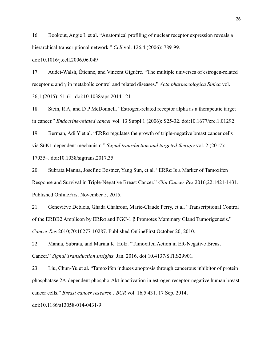16. Bookout, Angie L et al. "Anatomical profiling of nuclear receptor expression reveals a hierarchical transcriptional network." *Cell* vol. 126,4 (2006): 789-99.

doi:10.1016/j.cell.2006.06.049

17. Audet-Walsh, Étienne, and Vincent Giguére. "The multiple universes of estrogen-related receptor α and γ in metabolic control and related diseases." *Acta pharmacologica Sinica* vol. 36,1 (2015): 51-61. doi:10.1038/aps.2014.121

18. Stein, R A, and D P McDonnell. "Estrogen-related receptor alpha as a therapeutic target in cancer." *Endocrine-related cancer* vol. 13 Suppl 1 (2006): S25-32. doi:10.1677/erc.1.01292

19. Berman, Adi Y et al. "ERRα regulates the growth of triple-negative breast cancer cells via S6K1-dependent mechanism." *Signal transduction and targeted therapy* vol. 2 (2017): 17035–. doi:10.1038/sigtrans.2017.35

20. Subrata Manna, Josefine Bostner, Yang Sun, et al. "ERRα Is a Marker of Tamoxifen Response and Survival in Triple-Negative Breast Cancer." *Clin Cancer Res* 2016;22:1421-1431. Published OnlineFirst November 5, 2015.

21. Geneviève Deblois, Ghada Chahrour, Marie-Claude Perry, et al. "Transcriptional Control of the ERBB2 Amplicon by ERRα and PGC-1 β Promotes Mammary Gland Tumorigenesis." *Cancer Res* 2010;70:10277-10287. Published OnlineFirst October 20, 2010.

22. Manna, Subrata, and Marina K. Holz. "Tamoxifen Action in ER-Negative Breast Cancer." *Signal Transduction Insights,* Jan. 2016, doi:10.4137/STI.S29901.

23. Liu, Chun-Yu et al. "Tamoxifen induces apoptosis through cancerous inhibitor of protein phosphatase 2A-dependent phospho-Akt inactivation in estrogen receptor-negative human breast cancer cells." *Breast cancer research : BCR* vol. 16,5 431. 17 Sep. 2014,

doi:10.1186/s13058-014-0431-9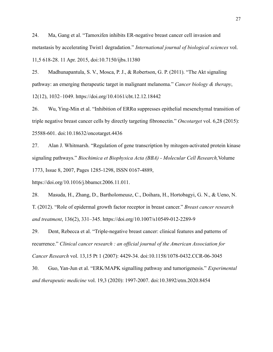24. Ma, Gang et al. "Tamoxifen inhibits ER-negative breast cancer cell invasion and metastasis by accelerating Twist1 degradation." *International journal of biological sciences* vol. 11,5 618-28. 11 Apr. 2015, doi:10.7150/ijbs.11380

25. Madhunapantula, S. V., Mosca, P. J., & Robertson, G. P. (2011). "The Akt signaling pathway: an emerging therapeutic target in malignant melanoma." *Cancer biology & therapy*, 12(12), 1032–1049. https://doi.org/10.4161/cbt.12.12.18442

26. Wu, Ying-Min et al. "Inhibition of ERRα suppresses epithelial mesenchymal transition of triple negative breast cancer cells by directly targeting fibronectin." *Oncotarget* vol. 6,28 (2015): 25588-601. doi:10.18632/oncotarget.4436

27. Alan J. Whitmarsh. "Regulation of gene transcription by mitogen-activated protein kinase signaling pathways." *Biochimica et Biophysica Acta (BBA) - Molecular Cell Research,*Volume 1773, Issue 8, 2007, Pages 1285-1298, ISSN 0167-4889,

https://doi.org/10.1016/j.bbamcr.2006.11.011.

28. Masuda, H., Zhang, D., Bartholomeusz, C., Doihara, H., Hortobagyi, G. N., & Ueno, N. T. (2012). "Role of epidermal growth factor receptor in breast cancer." *Breast cancer research and treatment*, 136(2), 331–345. https://doi.org/10.1007/s10549-012-2289-9

29. Dent, Rebecca et al. "Triple-negative breast cancer: clinical features and patterns of recurrence." *Clinical cancer research : an official journal of the American Association for Cancer Research* vol. 13,15 Pt 1 (2007): 4429-34. doi:10.1158/1078-0432.CCR-06-3045

30. Guo, Yan-Jun et al. "ERK/MAPK signalling pathway and tumorigenesis." *Experimental and therapeutic medicine* vol. 19,3 (2020): 1997-2007. doi:10.3892/etm.2020.8454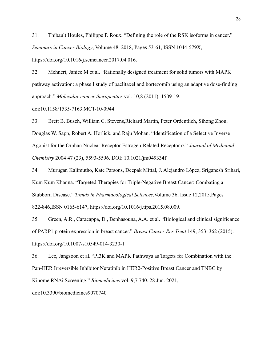31. Thibault Houles, Philippe P. Roux. "Defining the role of the RSK isoforms in cancer." *Seminars in Cancer Biology*, Volume 48, 2018, Pages 53-61, ISSN 1044-579X, https://doi.org/10.1016/j.semcancer.2017.04.016.

32. Mehnert, Janice M et al. "Rationally designed treatment for solid tumors with MAPK pathway activation: a phase I study of paclitaxel and bortezomib using an adaptive dose-finding approach." *Molecular cancer therapeutics* vol. 10,8 (2011): 1509-19.

doi:10.1158/1535-7163.MCT-10-0944

33. Brett B. Busch, William C. Stevens,Richard Martin, Peter Ordentlich, Sihong Zhou, Douglas W. Sapp, Robert A. Horlick, and Raju Mohan. "Identification of a Selective Inverse Agonist for the Orphan Nuclear Receptor Estrogen-Related Receptor α." *Journal of Medicinal Chemistry* 2004 47 (23), 5593-5596. DOI: 10.1021/jm049334f

34. Murugan Kalimutho, Kate Parsons, Deepak Mittal, J. Alejandro López, Sriganesh Srihari, Kum Kum Khanna. "Targeted Therapies for Triple-Negative Breast Cancer: Combating a Stubborn Disease." *Trends in Pharmacological Sciences*,Volume 36, Issue 12,2015,Pages 822-846,ISSN 0165-6147, https://doi.org/10.1016/j.tips.2015.08.009.

35. Green, A.R., Caracappa, D., Benhasouna, A.A. et al. "Biological and clinical significance of PARP1 protein expression in breast cancer." *Breast Cancer Res Treat* 149, 353–362 (2015). https://doi.org/10.1007/s10549-014-3230-1

36. Lee, Jangsoon et al. "PI3K and MAPK Pathways as Targets for Combination with the Pan-HER Irreversible Inhibitor Neratinib in HER2-Positive Breast Cancer and TNBC by Kinome RNAi Screening." *Biomedicines* vol. 9,7 740. 28 Jun. 2021,

doi:10.3390/biomedicines9070740